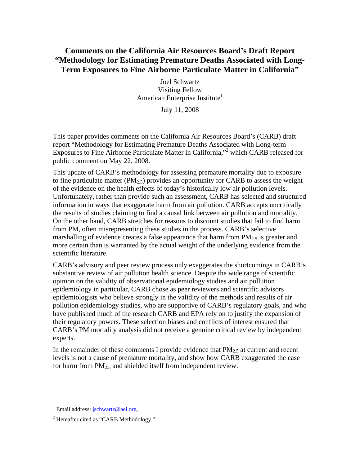# **Comments on the California Air Resources Board's Draft Report "Methodology for Estimating Premature Deaths Associated with Long-Term Exposures to Fine Airborne Particulate Matter in California"**

Joel Schwartz Visiting Fellow American Enterprise Institute<sup>1</sup>

July 11, 2008

This paper provides comments on the California Air Resources Board's (CARB) draft report "Methodology for Estimating Premature Deaths Associated with Long-term Exposures to Fine Airborne Particulate Matter in California,"<sup>2</sup> which CARB released for public comment on May 22, 2008.

This update of CARB's methodology for assessing premature mortality due to exposure to fine particulate matter ( $PM<sub>2.5</sub>$ ) provides an opportunity for CARB to assess the weight of the evidence on the health effects of today's historically low air pollution levels. Unfortunately, rather than provide such an assessment, CARB has selected and structured information in ways that exaggerate harm from air pollution. CARB accepts uncritically the results of studies claiming to find a causal link between air pollution and mortality. On the other hand, CARB stretches for reasons to discount studies that fail to find harm from PM, often misrepresenting these studies in the process. CARB's selective marshalling of evidence creates a false appearance that harm from  $PM_{2,5}$  is greater and more certain than is warranted by the actual weight of the underlying evidence from the scientific literature.

CARB's advisory and peer review process only exaggerates the shortcomings in CARB's substantive review of air pollution health science. Despite the wide range of scientific opinion on the validity of observational epidemiology studies and air pollution epidemiology in particular, CARB chose as peer reviewers and scientific advisors epidemiologists who believe strongly in the validity of the methods and results of air pollution epidemiology studies, who are supportive of CARB's regulatory goals, and who have published much of the research CARB and EPA rely on to justify the expansion of their regulatory powers. These selection biases and conflicts of interest ensured that CARB's PM mortality analysis did not receive a genuine critical review by independent experts.

In the remainder of these comments I provide evidence that  $PM_{2.5}$  at current and recent levels is not a cause of premature mortality, and show how CARB exaggerated the case for harm from  $PM<sub>2.5</sub>$  and shielded itself from independent review.

1

<sup>&</sup>lt;sup>1</sup> Email address: **jschwartz@aei.org**.

<sup>&</sup>lt;sup>2</sup> Hereafter cited as "CARB Methodology."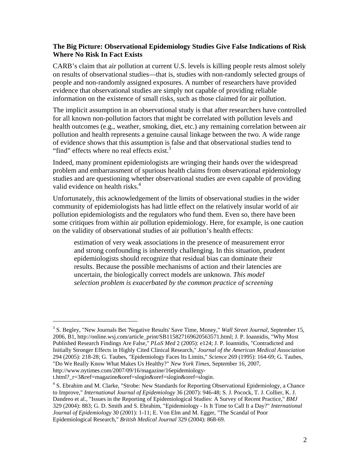## **The Big Picture: Observational Epidemiology Studies Give False Indications of Risk Where No Risk In Fact Exists**

CARB's claim that air pollution at current U.S. levels is killing people rests almost solely on results of observational studies—that is, studies with non-randomly selected groups of people and non-randomly assigned exposures. A number of researchers have provided evidence that observational studies are simply not capable of providing reliable information on the existence of small risks, such as those claimed for air pollution.

The implicit assumption in an observational study is that after researchers have controlled for all known non-pollution factors that might be correlated with pollution levels and health outcomes (e.g., weather, smoking, diet, etc.) any remaining correlation between air pollution and health represents a genuine causal linkage between the two. A wide range of evidence shows that this assumption is false and that observational studies tend to "find" effects where no real effects exist.<sup>3</sup>

Indeed, many prominent epidemiologists are wringing their hands over the widespread problem and embarrassment of spurious health claims from observational epidemiology studies and are questioning whether observational studies are even capable of providing valid evidence on health risks.<sup>4</sup>

Unfortunately, this acknowledgement of the limits of observational studies in the wider community of epidemiologists has had little effect on the relatively insular world of air pollution epidemiologists and the regulators who fund them. Even so, there have been some critiques from within air pollution epidemiology. Here, for example, is one caution on the validity of observational studies of air pollution's health effects:

estimation of very weak associations in the presence of measurement error and strong confounding is inherently challenging. In this situation, prudent epidemiologists should recognize that residual bias can dominate their results. Because the possible mechanisms of action and their latencies are uncertain, the biologically correct models are unknown. *This model selection problem is exacerbated by the common practice of screening* 

t.html?\_r=3&ref=magazine&oref=slogin&oref=slogin&oref=slogin.

<sup>3</sup> S. Begley, "New Journals Bet 'Negative Results' Save Time, Money," *Wall Street Journal*, September 15, 2006, B1, http://online.wsj.com/article\_print/SB115827169620563571.html; J. P. Ioannidis, "Why Most Published Research Findings Are False," *PLoS Med* 2 (2005): e124; J. P. Ioannidis, "Contradicted and Initially Stronger Effects in Highly Cited Clinical Research," *Journal of the American Medical Association* 294 (2005): 218-28; G. Taubes, "Epidemiology Faces Its Limits," *Science* 269 (1995): 164-69; G. Taubes, "Do We Really Know What Makes Us Healthy?" *New York Times*, September 16, 2007, http://www.nytimes.com/2007/09/16/magazine/16epidemiology-

<sup>&</sup>lt;sup>4</sup> S. Ebrahim and M. Clarke, "Strobe: New Standards for Reporting Observational Epidemiology, a Chance to Improve," *International Journal of Epidemiology* 36 (2007): 946-48; S. J. Pocock, T. J. Collier, K. J. Dandreo et al., "Issues in the Reporting of Epidemiological Studies: A Survey of Recent Practice," *BMJ* 329 (2004): 883; G. D. Smith and S. Ebrahim, "Epidemiology - Is It Time to Call It a Day?" *International Journal of Epidemiology* 30 (2001): 1-11; E. Von Elm and M. Egger, "The Scandal of Poor Epidemiological Research," *British Medical Journal* 329 (2004): 868-69.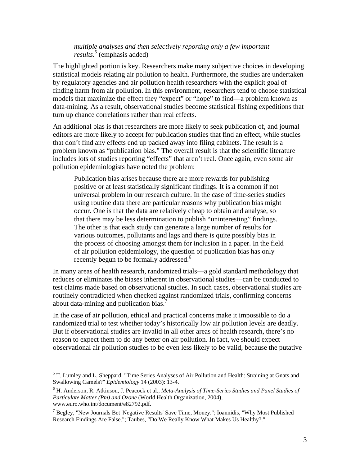#### *multiple analyses and then selectively reporting only a few important results.*<sup>5</sup> (emphasis added)

The highlighted portion is key. Researchers make many subjective choices in developing statistical models relating air pollution to health. Furthermore, the studies are undertaken by regulatory agencies and air pollution health researchers with the explicit goal of finding harm from air pollution. In this environment, researchers tend to choose statistical models that maximize the effect they "expect" or "hope" to find—a problem known as data-mining. As a result, observational studies become statistical fishing expeditions that turn up chance correlations rather than real effects.

An additional bias is that researchers are more likely to seek publication of, and journal editors are more likely to accept for publication studies that find an effect, while studies that don't find any effects end up packed away into filing cabinets. The result is a problem known as "publication bias." The overall result is that the scientific literature includes lots of studies reporting "effects" that aren't real. Once again, even some air pollution epidemiologists have noted the problem:

Publication bias arises because there are more rewards for publishing positive or at least statistically significant findings. It is a common if not universal problem in our research culture. In the case of time-series studies using routine data there are particular reasons why publication bias might occur. One is that the data are relatively cheap to obtain and analyse, so that there may be less determination to publish "uninteresting" findings. The other is that each study can generate a large number of results for various outcomes, pollutants and lags and there is quite possibly bias in the process of choosing amongst them for inclusion in a paper. In the field of air pollution epidemiology, the question of publication bias has only recently begun to be formally addressed.<sup>6</sup>

In many areas of health research, randomized trials—a gold standard methodology that reduces or eliminates the biases inherent in observational studies—can be conducted to test claims made based on observational studies. In such cases, observational studies are routinely contradicted when checked against randomized trials, confirming concerns about data-mining and publication bias. $\frac{7}{1}$ 

In the case of air pollution, ethical and practical concerns make it impossible to do a randomized trial to test whether today's historically low air pollution levels are deadly. But if observational studies are invalid in all other areas of health research, there's no reason to expect them to do any better on air pollution. In fact, we should expect observational air pollution studies to be even less likely to be valid, because the putative

<sup>&</sup>lt;sup>5</sup> T. Lumley and L. Sheppard, "Time Series Analyses of Air Pollution and Health: Straining at Gnats and Swallowing Camels?" *Epidemiology* 14 (2003): 13-4.

<sup>&</sup>lt;sup>6</sup> H. Anderson, R. Atkinson, J. Peacock et al., *Meta-Analysis of Time-Series Studies and Panel Studies of Particulate Matter (Pm) and Ozone* (World Health Organization, 2004), www.euro.who.int/document/e82792.pdf.

<sup>&</sup>lt;sup>7</sup> Begley, "New Journals Bet 'Negative Results' Save Time, Money."; Ioannidis, "Why Most Published Research Findings Are False."; Taubes, "Do We Really Know What Makes Us Healthy?."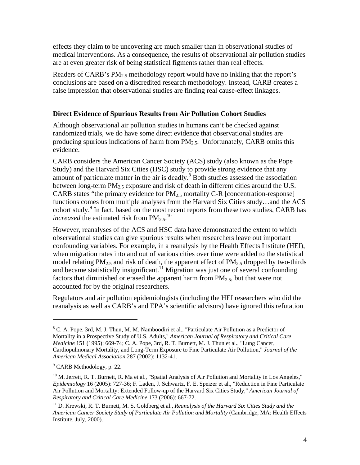effects they claim to be uncovering are much smaller than in observational studies of medical interventions. As a consequence, the results of observational air pollution studies are at even greater risk of being statistical figments rather than real effects.

Readers of CARB's  $PM_{2,5}$  methodology report would have no inkling that the report's conclusions are based on a discredited research methodology. Instead, CARB creates a false impression that observational studies are finding real cause-effect linkages.

## **Direct Evidence of Spurious Results from Air Pollution Cohort Studies**

Although observational air pollution studies in humans can't be checked against randomized trials, we do have some direct evidence that observational studies are producing spurious indications of harm from  $PM_{2.5}$ . Unfortunately, CARB omits this evidence.

CARB considers the American Cancer Society (ACS) study (also known as the Pope Study) and the Harvard Six Cities (HSC) study to provide strong evidence that any amount of particulate matter in the air is deadly. $8$  Both studies assessed the association between long-term  $PM_{2.5}$  exposure and risk of death in different cities around the U.S. CARB states "the primary evidence for  $PM_{2.5}$  mortality C-R [concentration-response] functions comes from multiple analyses from the Harvard Six Cities study…and the ACS cohort study.<sup>9</sup> In fact, based on the most recent reports from these two studies, CARB has *increased* the estimated risk from  $PM_{2.5}$ .<sup>10</sup>

However, reanalyses of the ACS and HSC data have demonstrated the extent to which observational studies can give spurious results when researchers leave out important confounding variables. For example, in a reanalysis by the Health Effects Institute (HEI), when migration rates into and out of various cities over time were added to the statistical model relating PM<sub>2.5</sub> and risk of death, the apparent effect of PM<sub>2.5</sub> dropped by two-thirds and became statistically insignificant.<sup>11</sup> Migration was just one of several confounding factors that diminished or erased the apparent harm from  $PM_{2.5}$ , but that were not accounted for by the original researchers.

Regulators and air pollution epidemiologists (including the HEI researchers who did the reanalysis as well as CARB's and EPA's scientific advisors) have ignored this refutation

<sup>&</sup>lt;sup>8</sup> C. A. Pope, 3rd, M. J. Thun, M. M. Namboodiri et al., "Particulate Air Pollution as a Predictor of Mortality in a Prospective Study of U.S. Adults," *American Journal of Respiratory and Critical Care Medicine* 151 (1995): 669-74; C. A. Pope, 3rd, R. T. Burnett, M. J. Thun et al., "Lung Cancer, Cardiopulmonary Mortality, and Long-Term Exposure to Fine Particulate Air Pollution," *Journal of the American Medical Association* 287 (2002): 1132-41.

<sup>&</sup>lt;sup>9</sup> CARB Methodology, p. 22.

 $10$  M. Jerrett, R. T. Burnett, R. Ma et al., "Spatial Analysis of Air Pollution and Mortality in Los Angeles," *Epidemiology* 16 (2005): 727-36; F. Laden, J. Schwartz, F. E. Speizer et al., "Reduction in Fine Particulate Air Pollution and Mortality: Extended Follow-up of the Harvard Six Cities Study," *American Journal of Respiratory and Critical Care Medicine* 173 (2006): 667-72.

<sup>11</sup> D. Krewski, R. T. Burnett, M. S. Goldberg et al., *Reanalysis of the Harvard Six Cities Study and the American Cancer Society Study of Particulate Air Pollution and Mortality* (Cambridge, MA: Health Effects Institute, July, 2000).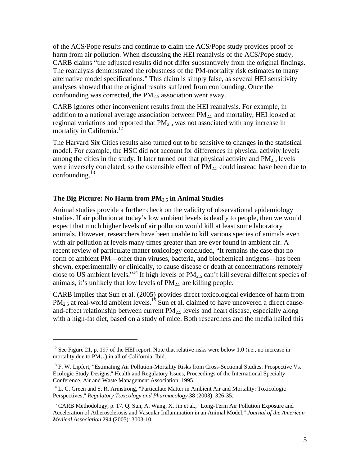of the ACS/Pope results and continue to claim the ACS/Pope study provides proof of harm from air pollution. When discussing the HEI reanalysis of the ACS/Pope study, CARB claims "the adjusted results did not differ substantively from the original findings. The reanalysis demonstrated the robustness of the PM-mortality risk estimates to many alternative model specifications." This claim is simply false, as several HEI sensitivity analyses showed that the original results suffered from confounding. Once the confounding was corrected, the  $PM<sub>2.5</sub>$  association went away.

CARB ignores other inconvenient results from the HEI reanalysis. For example, in addition to a national average association between  $PM_{2.5}$  and mortality, HEI looked at regional variations and reported that  $PM<sub>2.5</sub>$  was not associated with any increase in mortality in California.<sup>12</sup>

The Harvard Six Cities results also turned out to be sensitive to changes in the statistical model. For example, the HSC did not account for differences in physical activity levels among the cities in the study. It later turned out that physical activity and  $PM_{2.5}$  levels were inversely correlated, so the ostensible effect of  $PM_{2.5}$  could instead have been due to confounding. $^{13}$ 

#### **The Big Picture: No Harm from PM2.5 in Animal Studies**

 $\overline{a}$ 

Animal studies provide a further check on the validity of observational epidemiology studies. If air pollution at today's low ambient levels is deadly to people, then we would expect that much higher levels of air pollution would kill at least some laboratory animals. However, researchers have been unable to kill various species of animals even with air pollution at levels many times greater than are ever found in ambient air. A recent review of particulate matter toxicology concluded, "It remains the case that no form of ambient PM—other than viruses, bacteria, and biochemical antigens—has been shown, experimentally or clinically, to cause disease or death at concentrations remotely close to US ambient levels."<sup>14</sup> If high levels of  $PM<sub>2.5</sub>$  can't kill several different species of animals, it's unlikely that low levels of  $PM<sub>2.5</sub>$  are killing people.

CARB implies that Sun et al. (2005) provides direct toxicological evidence of harm from  $PM_{2.5}$  at real-world ambient levels.<sup>15</sup> Sun et al. claimed to have uncovered a direct causeand-effect relationship between current  $PM_{2.5}$  levels and heart disease, especially along with a high-fat diet, based on a study of mice. Both researchers and the media hailed this

<sup>&</sup>lt;sup>12</sup> See Figure 21, p. 197 of the HEI report. Note that relative risks were below 1.0 (i.e., no increase in mortality due to  $\overrightarrow{PM}_{2.5}$ ) in all of California. Ibid.

<sup>&</sup>lt;sup>13</sup> F. W. Lipfert, "Estimating Air Pollution-Mortality Risks from Cross-Sectional Studies: Prospective Vs. Ecologic Study Designs," Health and Regulatory Issues, Proceedings of the International Specialty Conference, Air and Waste Management Association, 1995.

<sup>&</sup>lt;sup>14</sup> L. C. Green and S. R. Armstrong, "Particulate Matter in Ambient Air and Mortality: Toxicologic Perspectives," *Regulatory Toxicology and Pharmacology* 38 (2003): 326-35.

<sup>&</sup>lt;sup>15</sup> CARB Methodology, p. 17. Q. Sun, A. Wang, X. Jin et al., "Long-Term Air Pollution Exposure and Acceleration of Atherosclerosis and Vascular Inflammation in an Animal Model," *Journal of the American Medical Association* 294 (2005): 3003-10.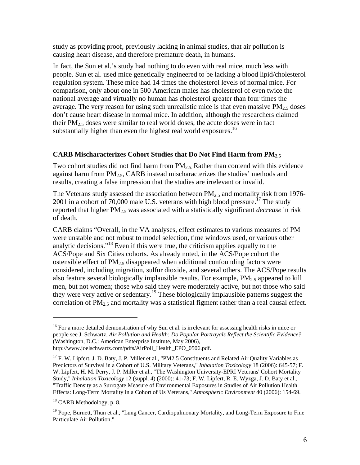study as providing proof, previously lacking in animal studies, that air pollution is causing heart disease, and therefore premature death, in humans.

In fact, the Sun et al.'s study had nothing to do even with real mice, much less with people. Sun et al. used mice genetically engineered to be lacking a blood lipid/cholesterol regulation system. These mice had 14 times the cholesterol levels of normal mice. For comparison, only about one in 500 American males has cholesterol of even twice the national average and virtually no human has cholesterol greater than four times the average. The very reason for using such unrealistic mice is that even massive  $PM_{2.5}$  doses don't cause heart disease in normal mice. In addition, although the researchers claimed their  $PM_2$ , doses were similar to real world doses, the acute doses were in fact substantially higher than even the highest real world exposures.<sup>16</sup>

## **CARB Mischaracterizes Cohort Studies that Do Not Find Harm from PM2.5**

Two cohort studies did not find harm from  $PM<sub>2.5</sub>$  Rather than contend with this evidence against harm from  $PM<sub>2.5</sub>$ , CARB instead mischaracterizes the studies' methods and results, creating a false impression that the studies are irrelevant or invalid.

The Veterans study assessed the association between  $PM<sub>2.5</sub>$  and mortality risk from 1976-2001 in a cohort of 70,000 male U.S. veterans with high blood pressure.<sup>17</sup> The study reported that higher PM2.5 was associated with a statistically significant *decrease* in risk of death.

CARB claims "Overall, in the VA analyses, effect estimates to various measures of PM were unstable and not robust to model selection, time windows used, or various other analytic decisions."<sup>18</sup> Even if this were true, the criticism applies equally to the ACS/Pope and Six Cities cohorts. As already noted, in the ACS/Pope cohort the ostensible effect of  $PM_2$ <sub>5</sub> disappeared when additional confounding factors were considered, including migration, sulfur dioxide, and several others. The ACS/Pope results also feature several biologically implausible results. For example,  $PM_{2.5}$  appeared to kill men, but not women; those who said they were moderately active, but not those who said they were very active or sedentary.<sup>19</sup> These biologically implausible patterns suggest the correlation of  $PM_{2.5}$  and mortality was a statistical figment rather than a real causal effect.

<sup>&</sup>lt;sup>16</sup> For a more detailed demonstration of why Sun et al. is irrelevant for assessing health risks in mice or people see J. Schwartz, *Air Pollution and Health: Do Popular Portrayals Reflect the Scientific Evidence?*  (Washington, D.C.: American Enterprise Institute, May 2006),

http://www.joelschwartz.com/pdfs/AirPoll\_Health\_EPO\_0506.pdf.

 $17$  F. W. Lipfert, J. D. Baty, J. P. Miller et al., "PM2.5 Constituents and Related Air Quality Variables as Predictors of Survival in a Cohort of U.S. Military Veterans," *Inhalation Toxicology* 18 (2006): 645-57; F. W. Lipfert, H. M. Perry, J. P. Miller et al., "The Washington University-EPRI Veterans' Cohort Mortality Study," *Inhalation Toxicology* 12 (suppl. 4) (2000): 41-73; F. W. Lipfert, R. E. Wyzga, J. D. Baty et al., "Traffic Density as a Surrogate Measure of Environmental Exposures in Studies of Air Pollution Health Effects: Long-Term Mortality in a Cohort of Us Veterans," *Atmospheric Environment* 40 (2006): 154-69.

<sup>&</sup>lt;sup>18</sup> CARB Methodology, p. 8.

<sup>&</sup>lt;sup>19</sup> Pope, Burnett, Thun et al., "Lung Cancer, Cardiopulmonary Mortality, and Long-Term Exposure to Fine Particulate Air Pollution."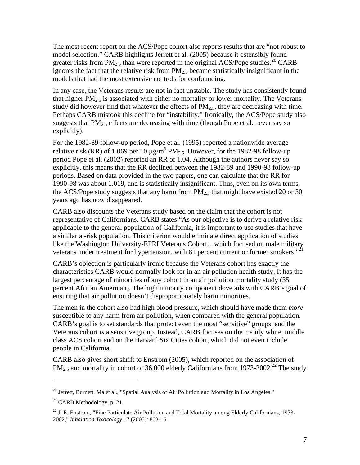The most recent report on the ACS/Pope cohort also reports results that are "not robust to model selection." CARB highlights Jerrett et al. (2005) because it ostensibly found greater risks from  $PM_{2.5}$  than were reported in the original ACS/Pope studies.<sup>20</sup> CARB ignores the fact that the relative risk from  $PM_{2.5}$  became statistically insignificant in the models that had the most extensive controls for confounding.

In any case, the Veterans results are not in fact unstable. The study has consistently found that higher  $PM<sub>2.5</sub>$  is associated with either no mortality or lower mortality. The Veterans study did however find that whatever the effects of  $PM_{2.5}$ , they are decreasing with time. Perhaps CARB mistook this decline for "instability." Ironically, the ACS/Pope study also suggests that  $PM_{2.5}$  effects are decreasing with time (though Pope et al. never say so explicitly).

For the 1982-89 follow-up period, Pope et al. (1995) reported a nationwide average relative risk (RR) of 1.069 per 10  $\mu$ g/m<sup>3</sup> PM<sub>2.5</sub>. However, for the 1982-98 follow-up period Pope et al. (2002) reported an RR of 1.04. Although the authors never say so explicitly, this means that the RR declined between the 1982-89 and 1990-98 follow-up periods. Based on data provided in the two papers, one can calculate that the RR for 1990-98 was about 1.019, and is statistically insignificant. Thus, even on its own terms, the ACS/Pope study suggests that any harm from  $PM_{2.5}$  that might have existed 20 or 30 years ago has now disappeared.

CARB also discounts the Veterans study based on the claim that the cohort is not representative of Californians. CARB states "As our objective is to derive a relative risk applicable to the general population of California, it is important to use studies that have a similar at-risk population. This criterion would eliminate direct application of studies like the Washington University-EPRI Veterans Cohort…which focused on male military veterans under treatment for hypertension, with 81 percent current or former smokers."<sup>21</sup>

CARB's objection is particularly ironic because the Veterans cohort has exactly the characteristics CARB would normally look for in an air pollution health study. It has the largest percentage of minorities of any cohort in an air pollution mortality study (35 percent African American). The high minority component dovetails with CARB's goal of ensuring that air pollution doesn't disproportionately harm minorities.

The men in the cohort also had high blood pressure, which should have made them *more* susceptible to any harm from air pollution, when compared with the general population. CARB's goal is to set standards that protect even the most "sensitive" groups, and the Veterans cohort *is* a sensitive group. Instead, CARB focuses on the mainly white, middle class ACS cohort and on the Harvard Six Cities cohort, which did not even include people in California.

CARB also gives short shrift to Enstrom (2005), which reported on the association of  $PM_{2.5}$  and mortality in cohort of 36,000 elderly Californians from 1973-2002.<sup>22</sup> The study

 $^{20}$  Jerrett, Burnett, Ma et al., "Spatial Analysis of Air Pollution and Mortality in Los Angeles."

 $^{21}$  CARB Methodology, p. 21.

 $^{22}$  J. E. Enstrom, "Fine Particulate Air Pollution and Total Mortality among Elderly Californians, 1973-2002," *Inhalation Toxicology* 17 (2005): 803-16.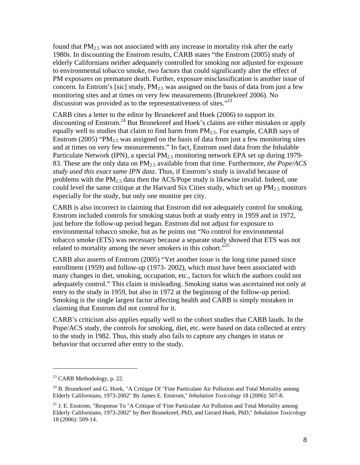found that  $PM_{2.5}$  was not associated with any increase in mortality risk after the early 1980s. In discounting the Enstrom results, CARB states "the Enstrom (2005) study of elderly Californians neither adequately controlled for smoking nor adjusted for exposure to environmental tobacco smoke, two factors that could significantly alter the effect of PM exposures on premature death. Further, exposure misclassification is another issue of concern. In Entrom's [sic] study,  $PM<sub>2.5</sub>$  was assigned on the basis of data from just a few monitoring sites and at times on very few measurements (Brunekreef 2006). No discussion was provided as to the representativeness of sites. $123$ 

CARB cites a letter to the editor by Brunekreef and Hoek (2006) to support its discounting of Enstrom.24 But Brunekreef and Hoek's claims are either mistaken or apply equally well to studies that claim to find harm from  $PM_{2.5}$ . For example, CARB says of Enstrom (2005) "PM<sub>2.5</sub> was assigned on the basis of data from just a few monitoring sites and at times on very few measurements." In fact, Enstrom used data from the Inhalable Particulate Network (IPN), a special  $PM<sub>2.5</sub>$  monitoring network EPA set up during 1979-83. These are the only data on PM2.5 available from that time. Furthermore, *the Pope/ACS study used this exact same IPN data*. Thus, if Enstrom's study is invalid because of problems with the  $PM_{2.5}$  data then the ACS/Pope study is likewise invalid. Indeed, one could level the same critique at the Harvard Six Cities study, which set up  $PM_{2.5}$  monitors especially for the study, but only one monitor per city.

CARB is also incorrect in claiming that Enstrom did not adequately control for smoking. Enstrom included controls for smoking status both at study entry in 1959 and in 1972, just before the follow-up period began. Enstrom did not adjust for exposure to environmental tobacco smoke, but as he points out "No control for environmental tobacco smoke (ETS) was necessary because a separate study showed that ETS was not related to mortality among the never smokers in this cohort.<sup> $25$ </sup>

CARB also asserts of Enstrom (2005) "Yet another issue is the long time passed since enrollment (1959) and follow-up (1973- 2002), which must have been associated with many changes in diet, smoking, occupation, etc., factors for which the authors could not adequately control." This claim is misleading. Smoking status was ascertained not only at entry to the study in 1959, but also in 1972 at the beginning of the follow-up period. Smoking is the single largest factor affecting health and CARB is simply mistaken in claiming that Enstrom did not control for it.

CARB's criticism also applies equally well to the cohort studies that CARB lauds. In the Pope/ACS study, the controls for smoking, diet, etc. were based on data collected at entry to the study in 1982. Thus, this study also fails to capture any changes in status or behavior that occurred after entry to the study.

 $23$  CARB Methodology, p. 22.

 $^{24}$  B. Brunekreef and G. Hoek, "A Critique Of "Fine Particulate Air Pollution and Total Mortality among Elderly Californians, 1973-2002" By James E. Enstrom," *Inhalation Toxicology* 18 (2006): 507-8.

<sup>&</sup>lt;sup>25</sup> J. E. Enstrom, "Response To "A Critique of 'Fine Particulate Air Pollution and Total Mortality among Elderly Californians, 1973-2002" by Bert Brunekreef, PhD, and Gerard Hoek, PhD," *Inhalation Toxicology* 18 (2006): 509-14.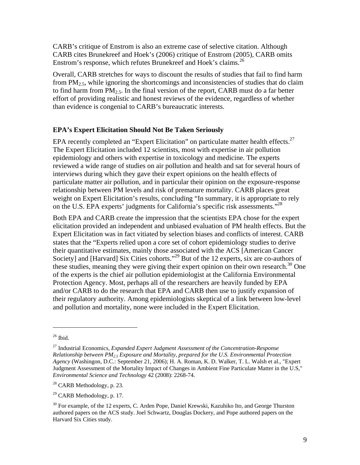CARB's critique of Enstrom is also an extreme case of selective citation. Although CARB cites Brunekreef and Hoek's (2006) critique of Enstrom (2005), CARB omits Enstrom's response, which refutes Brunekreef and Hoek's claims.<sup>26</sup>

Overall, CARB stretches for ways to discount the results of studies that fail to find harm from  $PM_{2.5}$ , while ignoring the shortcomings and inconsistencies of studies that do claim to find harm from  $PM_{2.5}$ . In the final version of the report, CARB must do a far better effort of providing realistic and honest reviews of the evidence, regardless of whether than evidence is congenial to CARB's bureaucratic interests.

#### **EPA's Expert Elicitation Should Not Be Taken Seriously**

EPA recently completed an "Expert Elicitation" on particulate matter health effects.<sup>27</sup> The Expert Elicitation included 12 scientists, most with expertise in air pollution epidemiology and others with expertise in toxicology and medicine. The experts reviewed a wide range of studies on air pollution and health and sat for several hours of interviews during which they gave their expert opinions on the health effects of particulate matter air pollution, and in particular their opinion on the exposure-response relationship between PM levels and risk of premature mortality. CARB places great weight on Expert Elicitation's results, concluding "In summary, it is appropriate to rely on the U.S. EPA experts' judgments for California's specific risk assessments."<sup>28</sup>

Both EPA and CARB create the impression that the scientists EPA chose for the expert elicitation provided an independent and unbiased evaluation of PM health effects. But the Expert Elicitation was in fact vitiated by selection biases and conflicts of interest. CARB states that the "Experts relied upon a core set of cohort epidemiology studies to derive their quantitative estimates, mainly those associated with the ACS [American Cancer Society] and [Harvard] Six Cities cohorts."<sup>29</sup> But of the 12 experts, six are co-authors of these studies, meaning they were giving their expert opinion on their own research.<sup>30</sup> One of the experts is the chief air pollution epidemiologist at the California Environmental Protection Agency. Most, perhaps all of the researchers are heavily funded by EPA and/or CARB to do the research that EPA and CARB then use to justify expansion of their regulatory authority. Among epidemiologists skeptical of a link between low-level and pollution and mortality, none were included in the Expert Elicitation.

1

 $26$  Ibid.

<sup>27</sup> Industrial Economics, *Expanded Expert Judgment Assessment of the Concentration-Response Relationship between PM2.5 Exposure and Mortality, prepared for the U.S. Environmental Protection Agency* (Washingon, D.C.: September 21, 2006); H. A. Roman, K. D. Walker, T. L. Walsh et al., "Expert Judgment Assessment of the Mortality Impact of Changes in Ambient Fine Particulate Matter in the U.S," *Environmental Science and Technology* 42 (2008): 2268-74.

 $28$  CARB Methodology, p. 23.

 $29$  CARB Methodology, p. 17.

 $30$  For example, of the 12 experts, C. Arden Pope, Daniel Krewski, Kazuhiko Ito, and George Thurston authored papers on the ACS study. Joel Schwartz, Douglas Dockery, and Pope authored papers on the Harvard Six Cities study.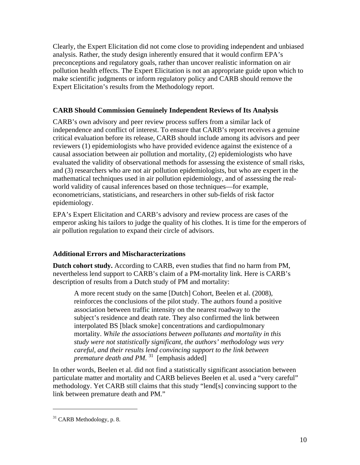Clearly, the Expert Elicitation did not come close to providing independent and unbiased analysis. Rather, the study design inherently ensured that it would confirm EPA's preconceptions and regulatory goals, rather than uncover realistic information on air pollution health effects. The Expert Elicitation is not an appropriate guide upon which to make scientific judgments or inform regulatory policy and CARB should remove the Expert Elicitation's results from the Methodology report.

## **CARB Should Commission Genuinely Independent Reviews of Its Analysis**

CARB's own advisory and peer review process suffers from a similar lack of independence and conflict of interest. To ensure that CARB's report receives a genuine critical evaluation before its release, CARB should include among its advisors and peer reviewers (1) epidemiologists who have provided evidence against the existence of a causal association between air pollution and mortality, (2) epidemiologists who have evaluated the validity of observational methods for assessing the existence of small risks, and (3) researchers who are not air pollution epidemiologists, but who are expert in the mathematical techniques used in air pollution epidemiology, and of assessing the realworld validity of causal inferences based on those techniques—for example, econometricians, statisticians, and researchers in other sub-fields of risk factor epidemiology.

EPA's Expert Elicitation and CARB's advisory and review process are cases of the emperor asking his tailors to judge the quality of his clothes. It is time for the emperors of air pollution regulation to expand their circle of advisors.

## **Additional Errors and Mischaracterizations**

**Dutch cohort study.** According to CARB, even studies that find no harm from PM, nevertheless lend support to CARB's claim of a PM-mortality link. Here is CARB's description of results from a Dutch study of PM and mortality:

A more recent study on the same [Dutch] Cohort, Beelen et al. (2008), reinforces the conclusions of the pilot study. The authors found a positive association between traffic intensity on the nearest roadway to the subject's residence and death rate. They also confirmed the link between interpolated BS [black smoke] concentrations and cardiopulmonary mortality. *While the associations between pollutants and mortality in this study were not statistically significant, the authors' methodology was very careful, and their results lend convincing support to the link between premature death and PM.*<sup>31</sup> [emphasis added]

In other words, Beelen et al. did not find a statistically significant association between particulate matter and mortality and CARB believes Beelen et al. used a "very careful" methodology. Yet CARB still claims that this study "lend[s] convincing support to the link between premature death and PM."

<u>.</u>

 $31$  CARB Methodology, p. 8.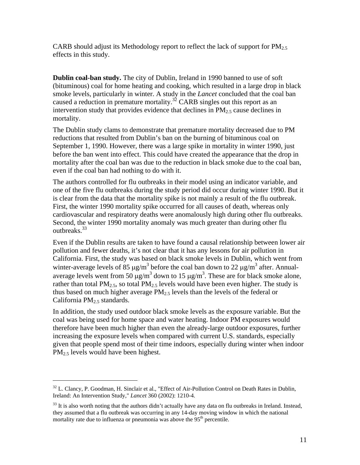CARB should adjust its Methodology report to reflect the lack of support for  $PM_{2.5}$ effects in this study.

**Dublin coal-ban study.** The city of Dublin, Ireland in 1990 banned to use of soft (bituminous) coal for home heating and cooking, which resulted in a large drop in black smoke levels, particularly in winter. A study in the *Lancet* concluded that the coal ban caused a reduction in premature mortality.<sup>32</sup> CARB singles out this report as an intervention study that provides evidence that declines in PM2.5 cause declines in mortality.

The Dublin study clams to demonstrate that premature mortality decreased due to PM reductions that resulted from Dublin's ban on the burning of bituminous coal on September 1, 1990. However, there was a large spike in mortality in winter 1990, just before the ban went into effect. This could have created the appearance that the drop in mortality after the coal ban was due to the reduction in black smoke due to the coal ban, even if the coal ban had nothing to do with it.

The authors controlled for flu outbreaks in their model using an indicator variable, and one of the five flu outbreaks during the study period did occur during winter 1990. But it is clear from the data that the mortality spike is not mainly a result of the flu outbreak. First, the winter 1990 mortality spike occurred for all causes of death, whereas only cardiovascular and respiratory deaths were anomalously high during other flu outbreaks. Second, the winter 1990 mortality anomaly was much greater than during other flu outhreaks.<sup>33</sup>

Even if the Dublin results are taken to have found a causal relationship between lower air pollution and fewer deaths, it's not clear that it has any lessons for air pollution in California. First, the study was based on black smoke levels in Dublin, which went from winter-average levels of 85  $\mu$ g/m<sup>3</sup> before the coal ban down to 22  $\mu$ g/m<sup>3</sup> after. Annualaverage levels went from 50  $\mu$ g/m<sup>3</sup> down to 15  $\mu$ g/m<sup>3</sup>. These are for black smoke alone, rather than total  $PM_{2.5}$ , so total  $PM_{2.5}$  levels would have been even higher. The study is thus based on much higher average  $PM_{2.5}$  levels than the levels of the federal or California PM2.5 standards.

In addition, the study used outdoor black smoke levels as the exposure variable. But the coal was being used for home space and water heating. Indoor PM exposures would therefore have been much higher than even the already-large outdoor exposures, further increasing the exposure levels when compared with current U.S. standards, especially given that people spend most of their time indoors, especially during winter when indoor  $PM<sub>2.5</sub>$  levels would have been highest.

<sup>&</sup>lt;sup>32</sup> L. Clancy, P. Goodman, H. Sinclair et al., "Effect of Air-Pollution Control on Death Rates in Dublin, Ireland: An Intervention Study," *Lancet* 360 (2002): 1210-4.

 $33$  It is also worth noting that the authors didn't actually have any data on flu outbreaks in Ireland. Instead, they assumed that a flu outbreak was occurring in any 14-day moving window in which the national mortality rate due to influenza or pneumonia was above the 95<sup>th</sup> percentile.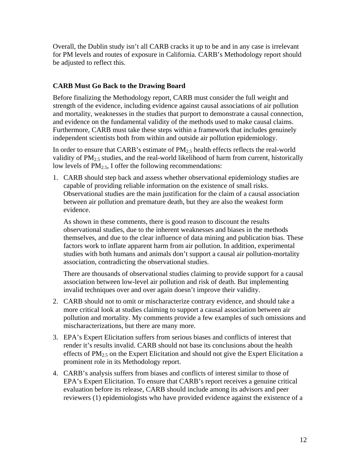Overall, the Dublin study isn't all CARB cracks it up to be and in any case is irrelevant for PM levels and routes of exposure in California. CARB's Methodology report should be adjusted to reflect this.

## **CARB Must Go Back to the Drawing Board**

Before finalizing the Methodology report, CARB must consider the full weight and strength of the evidence, including evidence against causal associations of air pollution and mortality, weaknesses in the studies that purport to demonstrate a causal connection, and evidence on the fundamental validity of the methods used to make causal claims. Furthermore, CARB must take these steps within a framework that includes genuinely independent scientists both from within and outside air pollution epidemiology.

In order to ensure that CARB's estimate of  $PM_{2.5}$  health effects reflects the real-world validity of PM<sub>2.5</sub> studies, and the real-world likelihood of harm from current, historically low levels of  $PM_{2.5}$ , I offer the following recommendations:

1. CARB should step back and assess whether observational epidemiology studies are capable of providing reliable information on the existence of small risks. Observational studies are the main justification for the claim of a causal association between air pollution and premature death, but they are also the weakest form evidence.

As shown in these comments, there is good reason to discount the results observational studies, due to the inherent weaknesses and biases in the methods themselves, and due to the clear influence of data mining and publication bias. These factors work to inflate apparent harm from air pollution. In addition, experimental studies with both humans and animals don't support a causal air pollution-mortality association, contradicting the observational studies.

There are thousands of observational studies claiming to provide support for a causal association between low-level air pollution and risk of death. But implementing invalid techniques over and over again doesn't improve their validity.

- 2. CARB should not to omit or mischaracterize contrary evidence, and should take a more critical look at studies claiming to support a causal association between air pollution and mortality. My comments provide a few examples of such omissions and mischaracterizations, but there are many more.
- 3. EPA's Expert Elicitation suffers from serious biases and conflicts of interest that render it's results invalid. CARB should not base its conclusions about the health effects of  $PM_{2.5}$  on the Expert Elicitation and should not give the Expert Elicitation a prominent role in its Methodology report.
- 4. CARB's analysis suffers from biases and conflicts of interest similar to those of EPA's Expert Elicitation. To ensure that CARB's report receives a genuine critical evaluation before its release, CARB should include among its advisors and peer reviewers (1) epidemiologists who have provided evidence against the existence of a